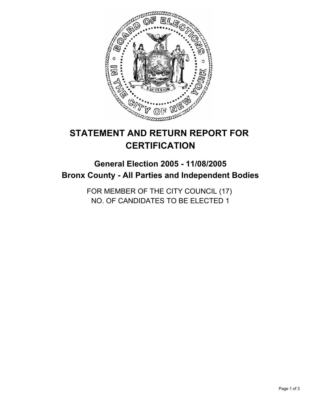

# **STATEMENT AND RETURN REPORT FOR CERTIFICATION**

# **General Election 2005 - 11/08/2005 Bronx County - All Parties and Independent Bodies**

FOR MEMBER OF THE CITY COUNCIL (17) NO. OF CANDIDATES TO BE ELECTED 1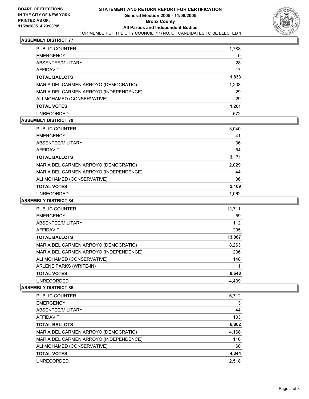

# **ASSEMBLY DISTRICT 77**

| PUBLIC COUNTER                         | 1,788 |  |
|----------------------------------------|-------|--|
| <b>EMERGENCY</b>                       |       |  |
| ABSENTEE/MILITARY                      | 28    |  |
| AFFIDAVIT                              | 17    |  |
| <b>TOTAL BALLOTS</b>                   | 1,833 |  |
| MARIA DEL CARMEN ARROYO (DEMOCRATIC)   | 1,203 |  |
| MARIA DEL CARMEN ARROYO (INDEPENDENCE) | 29    |  |
| ALI MOHAMED (CONSERVATIVE)             | 29    |  |
| <b>TOTAL VOTES</b>                     | 1,261 |  |
| <b>UNRECORDED</b>                      | 572   |  |

#### **ASSEMBLY DISTRICT 79**

| PUBLIC COUNTER                         | 3,040 |
|----------------------------------------|-------|
| <b>EMERGENCY</b>                       | 41    |
| ABSENTEE/MILITARY                      | 36    |
| AFFIDAVIT                              | 54    |
| <b>TOTAL BALLOTS</b>                   | 3,171 |
| MARIA DEL CARMEN ARROYO (DEMOCRATIC)   | 2,029 |
| MARIA DEL CARMEN ARROYO (INDEPENDENCE) | 44    |
| ALI MOHAMED (CONSERVATIVE)             | 36    |
| <b>TOTAL VOTES</b>                     | 2,109 |
| <b>UNRECORDED</b>                      | 1.062 |

#### **ASSEMBLY DISTRICT 84**

| PUBLIC COUNTER                         | 12,711 |
|----------------------------------------|--------|
| <b>EMERGENCY</b>                       | 59     |
| ABSENTEE/MILITARY                      | 112    |
| AFFIDAVIT                              | 205    |
| <b>TOTAL BALLOTS</b>                   | 13,087 |
| MARIA DEL CARMEN ARROYO (DEMOCRATIC)   | 8,263  |
| MARIA DEL CARMEN ARROYO (INDEPENDENCE) | 236    |
| ALI MOHAMED (CONSERVATIVE)             | 148    |
| ARLENE PARKS (WRITE-IN)                |        |
| <b>TOTAL VOTES</b>                     | 8,648  |
| <b>UNRECORDED</b>                      | 4.439  |

## **ASSEMBLY DISTRICT 85**

| PUBLIC COUNTER                         | 6,712 |
|----------------------------------------|-------|
| <b>EMERGENCY</b>                       | 3     |
| ABSENTEE/MILITARY                      | 44    |
| AFFIDAVIT                              | 103   |
| <b>TOTAL BALLOTS</b>                   | 6,862 |
| MARIA DEL CARMEN ARROYO (DEMOCRATIC)   | 4,168 |
| MARIA DEL CARMEN ARROYO (INDEPENDENCE) | 116   |
| ALI MOHAMED (CONSERVATIVE)             | 60    |
| <b>TOTAL VOTES</b>                     | 4,344 |
| UNRECORDED                             | 2.518 |